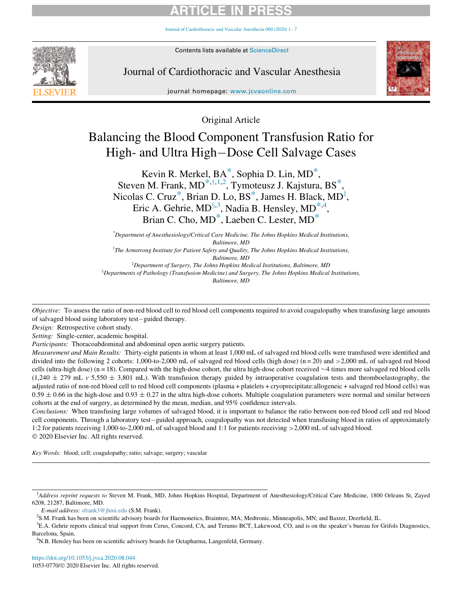Journal of Cardiothoracic and Vascular Anesthesia  $000(2020)$  1-[7](https://doi.org/10.1053/j.jvca.2020.08.044)



Contents lists available at ScienceDirect

Journal of Cardiothoracic and Vascular Anesthesia



journal homepage: [www.jcvaonline.com](http://www.jcvaonline.com)

Original Article

# Balancing the Blood Component Transfusion Ratio for High- and Ultra High-Dose Cell Salvage Cases

Kevin R. Merkel, BA<sup>\*</sup>, Sophia D. Lin, MD<sup>\*</sup>, Steven M. Frank,  $MD^{*,+,1,2}$  $MD^{*,+,1,2}$  $MD^{*,+,1,2}$  $MD^{*,+,1,2}$  $MD^{*,+,1,2}$  $MD^{*,+,1,2}$ , T[y](#page-0-1)moteusz J. Kajstura, BS<sup>\*</sup>, Nicolas C. Cru[z](#page-0-4) $^*$  $^*$ , Brian D. Lo, BS $^*$ , James H. Black, MD $^{\ddagger}$ , Eric A. Gehrie, MD $§^{3,3}$  $§^{3,3}$  $§^{3,3}$ , Nadia B. Hensley, MD ${}^{*,4}$  ${}^{*,4}$  ${}^{*,4}$ , Brian C. Cho, M[D\\*,](#page-0-0) Laeben C. Lester, MD[\\*](#page-0-0)

\* Department of Anesthesiology/Critical Care Medicine, The Johns Hopkins Medical Institutions, Baltimore, MD  $^\intercal$ The Armstrong Institute for Patient Safety and Quality, The Johns Hopkins Medical Institutions, Baltimore, MD  ${}^{\text{\tiny{\textregistered}}}$ Department of Surgery, The Johns Hopkins Medical Institutions, Baltimore, MD  ${}^{8}$ Departments of Pathology (Transfusion Medicine) and Surgery, The Johns Hopkins Medical Institutions, Baltimore, MD

<span id="page-0-5"></span><span id="page-0-4"></span><span id="page-0-1"></span><span id="page-0-0"></span>Objective: To assess the ratio of non-red blood cell to red blood cell components required to avoid coagulopathy when transfusing large amounts of salvaged blood using laboratory test-guided therapy.

Design: Retrospective cohort study.

Setting: Single-center, academic hospital.

Participants: Thoracoabdominal and abdominal open aortic surgery patients.

Measurement and Main Results: Thirty-eight patients in whom at least 1,000 mL of salvaged red blood cells were transfused were identified and divided into the following 2 cohorts: 1,000-to-2,000 mL of salvaged red blood cells (high dose) (n = 20) and >2,000 mL of salvaged red blood cells (ultra-high dose) (n = 18). Compared with the high-dose cohort, the ultra high-dose cohort received  $\sim$ 4 times more salvaged red blood cells  $(1,240 \pm 279 \text{ mL y } 5,550 \pm 3,801 \text{ mL})$ . With transfusion therapy guided by intraoperative coagulation tests and thromboelastography, the adjusted ratio of non-red blood cell to red blood cell components (plasma + platelets + cryoprecipitate:allogeneic + salvaged red blood cells) was  $0.59 \pm 0.66$  in the high-dose and  $0.93 \pm 0.27$  in the ultra high-dose cohorts. Multiple coagulation parameters were normal and similar between cohorts at the end of surgery, as determined by the mean, median, and 95% confidence intervals.

Conclusions: When transfusing large volumes of salvaged blood, it is important to balance the ratio between non-red blood cell and red blood cell components. Through a laboratory test-guided approach, coagulopathy was not detected when transfusing blood in ratios of approximately 1:2 for patients receiving 1,000-to-2,000 mL of salvaged blood and 1:1 for patients receiving >2,000 mL of salvaged blood. 2020 Elsevier Inc. All rights reserved.

Key Words: blood; cell; coagulopathy; ratio; salvage; surgery; vascular

<span id="page-0-2"></span><sup>&</sup>lt;sup>1</sup>Address reprint requests to Steven M. Frank, MD, Johns Hopkins Hospital, Department of Anesthesiology/Critical Care Medicine, 1800 Orleans St, Zayed 6208, 21287, Baltimore, MD.

E-mail address: [sfrank3@jhmi.edu](mailto:sfrank3@jhmi.edu) (S.M. Frank). <sup>2</sup>

<sup>&</sup>lt;sup>2</sup>S.M. Frank has been on scientific advisory boards for Haemonetics, Braintree, MA; Medtronic, Minneapolis, MN; and Baxter, Deerfield, IL.

<span id="page-0-6"></span><span id="page-0-3"></span><sup>3</sup> E.A. Gehrie reports clinical trial support from Cerus, Concord, CA, and Terumo BCT, Lakewood, CO, and is on the speaker's bureau for Grifols Diagnostics, Barcelona, Spain.

<span id="page-0-7"></span><sup>4</sup> N.B. Hensley has been on scientific advisory boards for Octapharma, Langenfeld, Germany.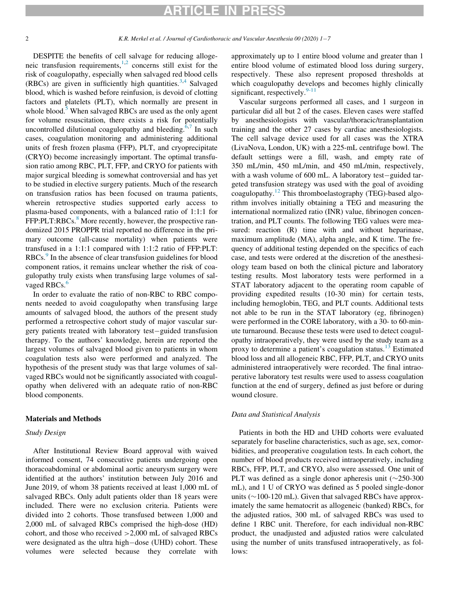### ICI E IN PRE

DESPITE the benefits of cell salvage for reducing allogeneic transfusion requirements, $1,2$  $1,2$  concerns still exist for the risk of coagulopathy, especially when salvaged red blood cells (RBCs) are given in sufficiently high quantities.<sup>[3](#page-6-2)[,4](#page-6-3)</sup> Salvaged blood, which is washed before reinfusion, is devoid of clotting factors and platelets (PLT), which normally are present in whole blood.<sup>[5](#page-6-4)</sup> When salvaged RBCs are used as the only agent for volume resuscitation, there exists a risk for potentially uncontrolled dilutional coagulopathy and bleeding.<sup>[6](#page-6-5)[,7](#page-6-6)</sup> In such cases, coagulation monitoring and administering additional units of fresh frozen plasma (FFP), PLT, and cryoprecipitate (CRYO) become increasingly important. The optimal transfusion ratio among RBC, PLT, FFP, and CRYO for patients with major surgical bleeding is somewhat controversial and has yet to be studied in elective surgery patients. Much of the research on transfusion ratios has been focused on trauma patients, wherein retrospective studies supported early access to plasma-based components, with a balanced ratio of 1:1:1 for FFP:PLT:RBCs.<sup>[8](#page-6-7)</sup> More recently, however, the prospective randomized 2015 PROPPR trial reported no difference in the primary outcome (all-cause mortality) when patients were transfused in a 1:1:1 compared with 1:1:2 ratio of FFP:PLT: RBCs.<sup>[9](#page-6-8)</sup> In the absence of clear transfusion guidelines for blood component ratios, it remains unclear whether the risk of coagulopathy truly exists when transfusing large volumes of sal-vaged RBCs.<sup>[6](#page-6-5)</sup>

In order to evaluate the ratio of non-RBC to RBC components needed to avoid coagulopathy when transfusing large amounts of salvaged blood, the authors of the present study performed a retrospective cohort study of major vascular surgery patients treated with laboratory test-guided transfusion therapy. To the authors' knowledge, herein are reported the largest volumes of salvaged blood given to patients in whom coagulation tests also were performed and analyzed. The hypothesis of the present study was that large volumes of salvaged RBCs would not be significantly associated with coagulopathy when delivered with an adequate ratio of non-RBC blood components.

### Materials and Methods

#### Study Design

After Institutional Review Board approval with waived informed consent, 74 consecutive patients undergoing open thoracoabdominal or abdominal aortic aneurysm surgery were identified at the authors' institution between July 2016 and June 2019, of whom 38 patients received at least 1,000 mL of salvaged RBCs. Only adult patients older than 18 years were included. There were no exclusion criteria. Patients were divided into 2 cohorts. Those transfused between 1,000 and 2,000 mL of salvaged RBCs comprised the high-dose (HD) cohort, and those who received >2,000 mL of salvaged RBCs were designated as the ultra high-dose (UHD) cohort. These volumes were selected because they correlate with approximately up to 1 entire blood volume and greater than 1 entire blood volume of estimated blood loss during surgery, respectively. These also represent proposed thresholds at which coagulopathy develops and becomes highly clinically significant, respectively.<sup>[9-11](#page-6-8)</sup>

Vascular surgeons performed all cases, and 1 surgeon in particular did all but 2 of the cases. Eleven cases were staffed by anesthesiologists with vascular/thoracic/transplantation training and the other 27 cases by cardiac anesthesiologists. The cell salvage device used for all cases was the XTRA (LivaNova, London, UK) with a 225-mL centrifuge bowl. The default settings were a fill, wash, and empty rate of 350 mL/min, 450 mL/min, and 450 mL/min, respectively, with a wash volume of  $600$  mL. A laboratory test-guided targeted transfusion strategy was used with the goal of avoiding coagulopathy.[12](#page-6-9) This thromboelastography (TEG)-based algorithm involves initially obtaining a TEG and measuring the international normalized ratio (INR) value, fibrinogen concentration, and PLT counts. The following TEG values were measured: reaction (R) time with and without heparinase, maximum amplitude (MA), alpha angle, and K time. The frequency of additional testing depended on the specifics of each case, and tests were ordered at the discretion of the anesthesiology team based on both the clinical picture and laboratory testing results. Most laboratory tests were performed in a STAT laboratory adjacent to the operating room capable of providing expedited results (10-30 min) for certain tests, including hemoglobin, TEG, and PLT counts. Additional tests not able to be run in the STAT laboratory (eg, fibrinogen) were performed in the CORE laboratory, with a 30- to 60-minute turnaround. Because these tests were used to detect coagulopathy intraoperatively, they were used by the study team as a proxy to determine a patient's coagulation status. $^{13}$  $^{13}$  $^{13}$  Estimated blood loss and all allogeneic RBC, FFP, PLT, and CRYO units administered intraoperatively were recorded. The final intraoperative laboratory test results were used to assess coagulation function at the end of surgery, defined as just before or during wound closure.

### Data and Statistical Analysis

Patients in both the HD and UHD cohorts were evaluated separately for baseline characteristics, such as age, sex, comorbidities, and preoperative coagulation tests. In each cohort, the number of blood products received intraoperatively, including RBCs, FFP, PLT, and CRYO, also were assessed. One unit of PLT was defined as a single donor apheresis unit  $(\sim 250-300$ mL), and 1 U of CRYO was defined as 5 pooled single-donor units ( $\sim$ 100-120 mL). Given that salvaged RBCs have approximately the same hematocrit as allogeneic (banked) RBCs, for the adjusted ratios, 300 mL of salvaged RBCs was used to define 1 RBC unit. Therefore, for each individual non-RBC product, the unadjusted and adjusted ratios were calculated using the number of units transfused intraoperatively, as follows: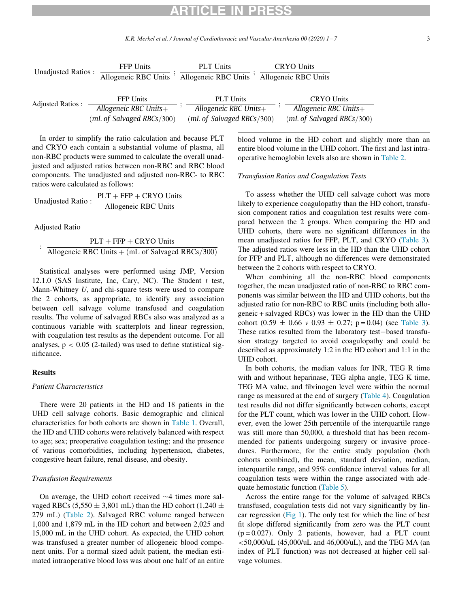K.R. Merkel et al. / Journal of Cardiothoracic and Vascular Anesthesia 00 (2020) 1–7 3

| Unadjusted Ratios:      | <b>FFP</b> Units<br>Allogeneic RBC Units | <b>PLT</b> Units<br>Allogeneic RBC Units | <b>CRYO Units</b><br>Allogeneic RBC Units |
|-------------------------|------------------------------------------|------------------------------------------|-------------------------------------------|
| <b>Adjusted Ratios:</b> | <b>FFP</b> Units                         | <b>PLT</b> Units                         | <b>CRYO Units</b>                         |
|                         | Allogeneic RBC Units+                    | Allogeneic RBC Units $+$                 | Allogeneic RBC Units $+$                  |
|                         | (mL of Salvaged RBCs/300)                | (mL of Salvaged RBCs/300)                | (mL of Salvaged RBCs/300)                 |

In order to simplify the ratio calculation and because PLT and CRYO each contain a substantial volume of plasma, all non-RBC products were summed to calculate the overall unadjusted and adjusted ratios between non-RBC and RBC blood components. The unadjusted and adjusted non-RBC- to RBC ratios were calculated as follows:

Unadjusted Ratio :  $\frac{PLT + FFP + CRYO \text{ Units}}{Allogenec \text{ RBC Units}}$ 

Adjusted Ratio

 $PLT + FFP + CRYO$  Units Allogeneic RBC Units  $+(mL \text{ of Salvador } RBCs/300)$ 

Statistical analyses were performed using JMP, Version 12.1.0 (SAS Institute, Inc, Cary, NC). The Student  $t$  test, Mann-Whitney U, and chi-square tests were used to compare the 2 cohorts, as appropriate, to identify any association between cell salvage volume transfused and coagulation results. The volume of salvaged RBCs also was analyzed as a continuous variable with scatterplots and linear regression, with coagulation test results as the dependent outcome. For all analyses,  $p < 0.05$  (2-tailed) was used to define statistical significance.

### Results

#### Patient Characteristics

There were 20 patients in the HD and 18 patients in the UHD cell salvage cohorts. Basic demographic and clinical characteristics for both cohorts are shown in [Table 1](#page-3-0). Overall, the HD and UHD cohorts were relatively balanced with respect to age; sex; preoperative coagulation testing; and the presence of various comorbidities, including hypertension, diabetes, congestive heart failure, renal disease, and obesity.

### Transfusion Requirements

On average, the UHD cohort received  $\sim$ 4 times more salvaged RBCs (5,550  $\pm$  3,801 mL) than the HD cohort (1,240  $\pm$ 279 mL) [\(Table 2](#page-3-1)). Salvaged RBC volume ranged between 1,000 and 1,879 mL in the HD cohort and between 2,025 and 15,000 mL in the UHD cohort. As expected, the UHD cohort was transfused a greater number of allogeneic blood component units. For a normal sized adult patient, the median estimated intraoperative blood loss was about one half of an entire blood volume in the HD cohort and slightly more than an entire blood volume in the UHD cohort. The first and last intraoperative hemoglobin levels also are shown in [Table 2](#page-3-1).

### Transfusion Ratios and Coagulation Tests

To assess whether the UHD cell salvage cohort was more likely to experience coagulopathy than the HD cohort, transfusion component ratios and coagulation test results were compared between the 2 groups. When comparing the HD and UHD cohorts, there were no significant differences in the mean unadjusted ratios for FFP, PLT, and CRYO [\(Table 3](#page-3-2)). The adjusted ratios were less in the HD than the UHD cohort for FFP and PLT, although no differences were demonstrated between the 2 cohorts with respect to CRYO.

When combining all the non-RBC blood components together, the mean unadjusted ratio of non-RBC to RBC components was similar between the HD and UHD cohorts, but the adjusted ratio for non-RBC to RBC units (including both allogeneic + salvaged RBCs) was lower in the HD than the UHD cohort  $(0.59 \pm 0.66 \text{ v } 0.93 \pm 0.27; \text{ p} = 0.04)$  (see [Table 3](#page-3-2)). These ratios resulted from the laboratory test-based transfusion strategy targeted to avoid coagulopathy and could be described as approximately 1:2 in the HD cohort and 1:1 in the UHD cohort.

In both cohorts, the median values for INR, TEG R time with and without heparinase, TEG alpha angle, TEG K time, TEG MA value, and fibrinogen level were within the normal range as measured at the end of surgery ([Table 4\)](#page-4-0). Coagulation test results did not differ significantly between cohorts, except for the PLT count, which was lower in the UHD cohort. However, even the lower 25th percentile of the interquartile range was still more than 50,000, a threshold that has been recommended for patients undergoing surgery or invasive procedures. Furthermore, for the entire study population (both cohorts combined), the mean, standard deviation, median, interquartile range, and 95% confidence interval values for all coagulation tests were within the range associated with adequate hemostatic function ([Table 5\)](#page-4-1).

Across the entire range for the volume of salvaged RBCs transfused, coagulation tests did not vary significantly by linear regression [\(Fig 1\)](#page-4-2). The only test for which the line of best fit slope differed significantly from zero was the PLT count  $(p = 0.027)$ . Only 2 patients, however, had a PLT count  $<$  50,000/uL (45,000/uL and 46,000/uL), and the TEG MA (an index of PLT function) was not decreased at higher cell salvage volumes.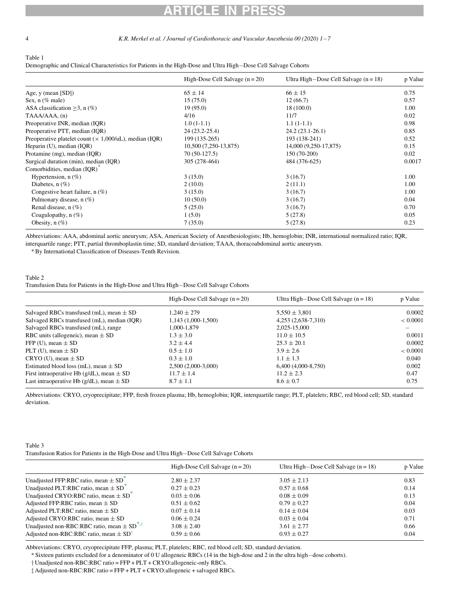4 K.R. Merkel et al. / Journal of Cardiothoracic and Vascular Anesthesia 00 (2020) 1–7

<span id="page-3-0"></span>Table 1

Demographic and Clinical Characteristics for Patients in the High-Dose and Ultra High-Dose Cell Salvage Cohorts

|                                                                   | High-Dose Cell Salvage $(n = 20)$ | Ultra High-Dose Cell Salvage $(n = 18)$ | p Value |
|-------------------------------------------------------------------|-----------------------------------|-----------------------------------------|---------|
| Age, $y$ (mean [SD])                                              | $65 \pm 14$                       | $66 \pm 15$                             | 0.75    |
| Sex, $n$ (% male)                                                 | 15(75.0)                          | 12(66.7)                                | 0.57    |
| ASA classification $\geq$ 3, n (%)                                | 19(95.0)                          | 18(100.0)                               | 1.00    |
| TAAA/AAA, (n)                                                     | 4/16                              | 11/7                                    | 0.02    |
| Preoperative INR, median (IQR)                                    | $1.0(1-1.1)$                      | $1.1(1-1.1)$                            | 0.98    |
| Preoperative PTT, median (IQR)                                    | 24 (23.2-25.4)                    | $24.2(23.1-26.1)$                       | 0.85    |
| Preoperative platelet count $(\times 1,000/\mu L)$ , median (IQR) | 199 (135-265)                     | 193 (138-241)                           | 0.52    |
| Heparin (U), median (IQR)                                         | 10,500 (7,250-13,875)             | 14,000 (9,250-17,875)                   | 0.15    |
| Protamine (mg), median (IQR)                                      | 70 (50-127.5)                     | $150(70-200)$                           | 0.02    |
| Surgical duration (min), median (IQR)                             | 305 (278-464)                     | 484 (376-625)                           | 0.0017  |
| Comorbidities, median (IOR) <sup>®</sup>                          |                                   |                                         |         |
| Hypertension, $n$ (%)                                             | 3(15.0)                           | 3(16.7)                                 | 1.00    |
| Diabetes, $n(\%)$                                                 | 2(10.0)                           | 2(11.1)                                 | 1.00    |
| Congestive heart failure, $n$ (%)                                 | 3(15.0)                           | 3(16.7)                                 | 1.00    |
| Pulmonary disease, $n$ (%)                                        | 10(50.0)                          | 3(16.7)                                 | 0.04    |
| Renal disease, $n$ (%)                                            | 5(25.0)                           | 3(16.7)                                 | 0.70    |
| Coagulopathy, $n$ (%)                                             | 1(5.0)                            | 5(27.8)                                 | 0.05    |
| Obesity, $n$ $(\%)$                                               | 7(35.0)                           | 5(27.8)                                 | 0.23    |

<span id="page-3-5"></span>Abbreviations: AAA, abdominal aortic aneurysm; ASA, American Society of Anesthesiologists; Hb, hemoglobin; INR, international normalized ratio; IQR, interquartile range; PTT, partial thromboplastin time; SD, standard deviation; TAAA, thoracoabdominal aortic aneurysm.

\* By International Classification of Diseases-Tenth Revision.

### <span id="page-3-1"></span>Table 2

Transfusion Data for Patients in the High-Dose and Ultra High-Dose Cell Salvage Cohorts

|                                                   | High-Dose Cell Salvage $(n = 20)$ | Ultra High-Dose Cell Salvage $(n = 18)$ | p Value  |
|---------------------------------------------------|-----------------------------------|-----------------------------------------|----------|
| Salvaged RBCs transfused (mL), mean $\pm$ SD      | $1.240 \pm 279$                   | $5,550 \pm 3,801$                       | 0.0002   |
| Salvaged RBCs transfused (mL), median (IQR)       | $1,143(1,000-1,500)$              | 4,253 (2,638-7,310)                     | < 0.0001 |
| Salvaged RBCs transfused (mL), range              | 1,000-1,879                       | 2.025-15.000                            |          |
| RBC units (allogeneic), mean $\pm$ SD             | $1.3 \pm 3.0$                     | $11.0 \pm 10.5$                         | 0.0011   |
| FFP (U), mean $\pm$ SD                            | $3.2 + 4.4$                       | $25.3 \pm 20.1$                         | 0.0002   |
| PLT (U), mean $\pm$ SD                            | $0.5 \pm 1.0$                     | $3.9 + 2.6$                             | < 0.0001 |
| $CRYO$ (U), mean $\pm SD$                         | $0.3 \pm 1.0$                     | $1.1 \pm 1.3$                           | 0.040    |
| Estimated blood loss (mL), mean $\pm$ SD          | 2,500 (2,000-3,000)               | $6,400(4,000-8,750)$                    | 0.002    |
| First intraoperative Hb ( $g/dL$ ), mean $\pm$ SD | $11.7 \pm 1.4$                    | $11.2 \pm 2.3$                          | 0.47     |
| Last intraoperative Hb ( $g/dL$ ), mean $\pm$ SD  | $8.7 + 1.1$                       | $8.6 \pm 0.7$                           | 0.75     |

Abbreviations: CRYO, cryoprecipitate; FFP, fresh frozen plasma; Hb, hemoglobin; IQR, interquartile range; PLT, platelets; RBC, red blood cell; SD, standard deviation.

<span id="page-3-2"></span>

| Table 3                                                                                   |
|-------------------------------------------------------------------------------------------|
| Transfusion Ratios for Patients in the High-Dose and Ultra High-Dose Cell Salvage Cohorts |

|                                                                               | High-Dose Cell Salvage $(n = 20)$ | Ultra High-Dose Cell Salvage $(n = 18)$ | p Value |
|-------------------------------------------------------------------------------|-----------------------------------|-----------------------------------------|---------|
| Unadjusted FFP:RBC ratio, mean $\pm$ SD <sup><math>\degree</math></sup>       | $2.80 \pm 2.37$                   | $3.05 \pm 2.13$                         | 0.83    |
| Unadjusted PLT:RBC ratio, mean $\pm$ SD <sup>*</sup>                          | $0.27 \pm 0.23$                   | $0.57 \pm 0.68$                         | 0.14    |
| Unadjusted CRYO:RBC ratio, mean $\pm$ SD <sup><math>\degree</math></sup>      | $0.03 \pm 0.06$                   | $0.08 \pm 0.09$                         | 0.13    |
| Adjusted FFP:RBC ratio, mean $\pm$ SD                                         | $0.51 \pm 0.62$                   | $0.79 \pm 0.27$                         | 0.04    |
| Adjusted PLT:RBC ratio, mean $\pm$ SD                                         | $0.07 \pm 0.14$                   | $0.14 \pm 0.04$                         | 0.03    |
| Adjusted CRYO:RBC ratio, mean $\pm$ SD                                        | $0.06 \pm 0.24$                   | $0.03 \pm 0.04$                         | 0.71    |
| Unadjusted non-RBC:RBC ratio, mean $\pm$ SD <sup><math>\degree</math>,†</sup> | $3.08 \pm 2.40$                   | $3.61 \pm 2.77$                         | 0.66    |
| Adjusted non-RBC:RBC ratio, mean $\pm$ SD <sup>‡</sup>                        | $0.59 \pm 0.66$                   | $0.93 \pm 0.27$                         | 0.04    |

<span id="page-3-4"></span><span id="page-3-3"></span>Abbreviations: CRYO, cryoprecipitate FFP, plasma; PLT, platelets; RBC, red blood cell; SD, standard deviation.

\* Sixteen patients excluded for a denominator of 0 U allogeneic RBCs (14 in the high-dose and 2 in the ultra highdose cohorts).

y Unadjusted non-RBC:RBC ratio = FFP + PLT + CRYO:allogeneic-only RBCs.

z Adjusted non-RBC:RBC ratio = FFP + PLT + CRYO:allogeneic + salvaged RBCs.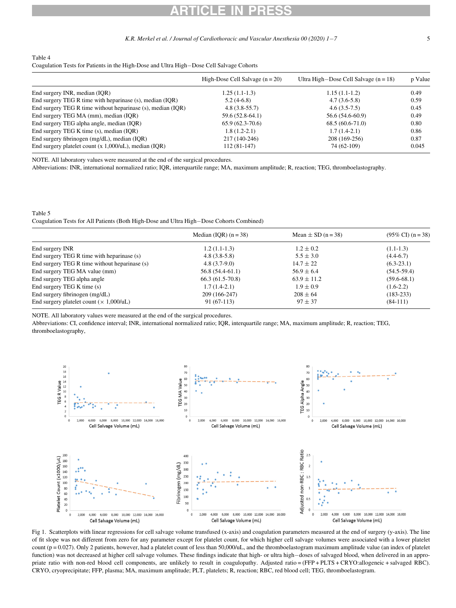#### K.R. Merkel et al. / Journal of Cardiothoracic and Vascular Anesthesia 00 (2020) 1-7 5

#### <span id="page-4-0"></span>Table 4

Coagulation Tests for Patients in the High-Dose and Ultra High-Dose Cell Salvage Cohorts

|                                                             | High-Dose Cell Salvage $(n = 20)$ | Ultra High-Dose Cell Salvage $(n = 18)$ | p Value |
|-------------------------------------------------------------|-----------------------------------|-----------------------------------------|---------|
| End surgery INR, median (IQR)                               | $1.25(1.1-1.3)$                   | $1.15(1.1-1.2)$                         | 0.49    |
| End surgery TEG R time with heparinase (s), median (IQR)    | $5.2(4-6.8)$                      | $4.7(3.6-5.8)$                          | 0.59    |
| End surgery TEG R time without heparinase (s), median (IQR) | $4.8(3.8-55.7)$                   | $4.6(3.5-7.5)$                          | 0.45    |
| End surgery TEG MA (mm), median (IQR)                       | 59.6 (52.8-64.1)                  | 56.6 (54.6-60.9)                        | 0.49    |
| End surgery TEG alpha angle, median (IQR)                   | $65.9(62.3-70.6)$                 | $68.5(60.6-71.0)$                       | 0.80    |
| End surgery TEG K time (s), median (IQR)                    | $1.8(1.2-2.1)$                    | $1.7(1.4-2.1)$                          | 0.86    |
| End surgery fibrinogen (mg/dL), median (IQR)                | 217 (140-246)                     | 208 (169-256)                           | 0.87    |
| End surgery platelet count $(x 1,000/uL)$ , median $(IQR)$  | 112 (81-147)                      | 74 (62-109)                             | 0.045   |

NOTE. All laboratory values were measured at the end of the surgical procedures.

Abbreviations: INR, international normalized ratio; IQR, interquartile range; MA, maximum amplitude; R, reaction; TEG, thromboelastography.

<span id="page-4-1"></span>Table 5

Coagulation Tests for All Patients (Both High-Dose and Ultra High-Dose Cohorts Combined)

|                                                | Median (IQR) $(n = 38)$ | Mean $\pm$ SD (n = 38) | $(95\% \text{ CI}) (n = 38)$ |
|------------------------------------------------|-------------------------|------------------------|------------------------------|
| End surgery INR                                | $1.2(1.1-1.3)$          | $1.2 \pm 0.2$          | $(1.1-1.3)$                  |
| End surgery TEG R time with heparinase (s)     | $4.8(3.8-5.8)$          | $5.5 \pm 3.0$          | $(4.4-6.7)$                  |
| End surgery TEG R time without heparinase (s)  | $4.8(3.7-9.0)$          | $14.7 \pm 22$          | $(6.3-23.1)$                 |
| End surgery TEG MA value (mm)                  | $56.8(54.4-61.1)$       | $56.9 \pm 6.4$         | $(54.5-59.4)$                |
| End surgery TEG alpha angle                    | $66.3(61.5-70.8)$       | $63.9 \pm 11.2$        | $(59.6-68.1)$                |
| End surgery TEG K time (s)                     | $1.7(1.4-2.1)$          | $1.9 \pm 0.9$          | $(1.6-2.2)$                  |
| End surgery fibrinogen (mg/dL)                 | 209 (166-247)           | $208 + 64$             | $(183 - 233)$                |
| End surgery platelet count $(\times 1,000/uL)$ | $91(67-113)$            | $97 \pm 37$            | $(84-111)$                   |

NOTE. All laboratory values were measured at the end of the surgical procedures.

<span id="page-4-2"></span>Abbreviations: CI, confidence interval; INR, international normalized ratio; IQR, interquartile range; MA, maximum amplitude; R, reaction; TEG, thromboelastography,



Fig 1. Scatterplots with linear regressions for cell salvage volume transfused (x-axis) and coagulation parameters measured at the end of surgery (y-axis). The line of fit slope was not different from zero for any parameter except for platelet count, for which higher cell salvage volumes were associated with a lower platelet count ( $p = 0.027$ ). Only 2 patients, however, had a platelet count of less than 50,000/uL, and the thromboelastogram maximum amplitude value (an index of platelet function) was not decreased at higher cell salvage volumes. These findings indicate that high- or ultra high-doses of salvaged blood, when delivered in an appropriate ratio with non-red blood cell components, are unlikely to result in coagulopathy. Adjusted ratio = (FFP + PLTS + CRYO:allogeneic + salvaged RBC). CRYO, cryoprecipitate; FFP, plasma; MA, maximum amplitude; PLT, platelets; R, reaction; RBC, red blood cell; TEG, thromboelastogram.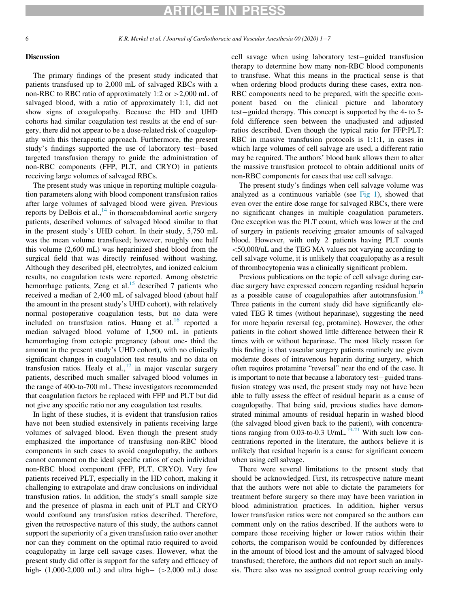6 K.R. Merkel et al. / Journal of Cardiothoracic and Vascular Anesthesia 00 (2020) 17

### Discussion

The primary findings of the present study indicated that patients transfused up to 2,000 mL of salvaged RBCs with a non-RBC to RBC ratio of approximately 1:2 or >2,000 mL of salvaged blood, with a ratio of approximately 1:1, did not show signs of coagulopathy. Because the HD and UHD cohorts had similar coagulation test results at the end of surgery, there did not appear to be a dose-related risk of coagulopathy with this therapeutic approach. Furthermore, the present study's findings supported the use of laboratory test-based targeted transfusion therapy to guide the administration of non-RBC components (FFP, PLT, and CRYO) in patients receiving large volumes of salvaged RBCs.

The present study was unique in reporting multiple coagulation parameters along with blood component transfusion ratios after large volumes of salvaged blood were given. Previous reports by DeBois et al.,  $^{14}$  $^{14}$  $^{14}$  in thoracoabdominal aortic surgery patients, described volumes of salvaged blood similar to that in the present study's UHD cohort. In their study, 5,750 mL was the mean volume transfused; however, roughly one half this volume (2,600 mL) was heparinized shed blood from the surgical field that was directly reinfused without washing. Although they described pH, electrolytes, and ionized calcium results, no coagulation tests were reported. Among obstetric hemorrhage patients, Zeng et al. $15$  described 7 patients who received a median of 2,400 mL of salvaged blood (about half the amount in the present study's UHD cohort), with relatively normal postoperative coagulation tests, but no data were included on transfusion ratios. Huang et al. $^{16}$  $^{16}$  $^{16}$  reported a median salvaged blood volume of 1,500 mL in patients hemorrhaging from ectopic pregnancy (about one- third the amount in the present study's UHD cohort), with no clinically significant changes in coagulation test results and no data on transfusion ratios. Healy et al., $^{17}$  $^{17}$  $^{17}$  in major vascular surgery patients, described much smaller salvaged blood volumes in the range of 400-to-700 mL. These investigators recommended that coagulation factors be replaced with FFP and PLT but did not give any specific ratio nor any coagulation test results.

In light of these studies, it is evident that transfusion ratios have not been studied extensively in patients receiving large volumes of salvaged blood. Even though the present study emphasized the importance of transfusing non-RBC blood components in such cases to avoid coagulopathy, the authors cannot comment on the ideal specific ratios of each individual non-RBC blood component (FFP, PLT, CRYO). Very few patients received PLT, especially in the HD cohort, making it challenging to extrapolate and draw conclusions on individual transfusion ratios. In addition, the study's small sample size and the presence of plasma in each unit of PLT and CRYO would confound any transfusion ratios described. Therefore, given the retrospective nature of this study, the authors cannot support the superiority of a given transfusion ratio over another nor can they comment on the optimal ratio required to avoid coagulopathy in large cell savage cases. However, what the present study did offer is support for the safety and efficacy of high-  $(1,000-2,000 \text{ mL})$  and ultra high-  $(>2,000 \text{ mL})$  dose cell savage when using laboratory test-guided transfusion therapy to determine how many non-RBC blood components to transfuse. What this means in the practical sense is that when ordering blood products during these cases, extra non-RBC components need to be prepared, with the specific component based on the clinical picture and laboratory test-guided therapy. This concept is supported by the 4- to 5fold difference seen between the unadjusted and adjusted ratios described. Even though the typical ratio for FFP:PLT: RBC in massive transfusion protocols is 1:1:1, in cases in which large volumes of cell salvage are used, a different ratio may be required. The authors' blood bank allows them to alter the massive transfusion protocol to obtain additional units of non-RBC components for cases that use cell salvage.

The present study's findings when cell salvage volume was analyzed as a continuous variable (see [Fig 1](#page-4-2)), showed that even over the entire dose range for salvaged RBCs, there were no significant changes in multiple coagulation parameters. One exception was the PLT count, which was lower at the end of surgery in patients receiving greater amounts of salvaged blood. However, with only 2 patients having PLT counts <50,000/uL and the TEG MA values not varying according to cell salvage volume, it is unlikely that coagulopathy as a result of thrombocytopenia was a clinically significant problem.

Previous publications on the topic of cell salvage during cardiac surgery have expressed concern regarding residual heparin as a possible cause of coagulopathies after autotransfusion.<sup>18</sup> Three patients in the current study did have significantly elevated TEG R times (without heparinase), suggesting the need for more heparin reversal (eg, protamine). However, the other patients in the cohort showed little difference between their R times with or without heparinase. The most likely reason for this finding is that vascular surgery patients routinely are given moderate doses of intravenous heparin during surgery, which often requires protamine "reversal" near the end of the case. It is important to note that because a laboratory test-guided transfusion strategy was used, the present study may not have been able to fully assess the effect of residual heparin as a cause of coagulopathy. That being said, previous studies have demonstrated minimal amounts of residual heparin in washed blood (the salvaged blood given back to the patient), with concentrations ranging from 0.03-to-0.3 U/mL.<sup>19-21</sup> With such low concentrations reported in the literature, the authors believe it is unlikely that residual heparin is a cause for significant concern when using cell salvage.

There were several limitations to the present study that should be acknowledged. First, its retrospective nature meant that the authors were not able to dictate the parameters for treatment before surgery so there may have been variation in blood administration practices. In addition, higher versus lower transfusion ratios were not compared so the authors can comment only on the ratios described. If the authors were to compare those receiving higher or lower ratios within their cohorts, the comparison would be confounded by differences in the amount of blood lost and the amount of salvaged blood transfused; therefore, the authors did not report such an analysis. There also was no assigned control group receiving only